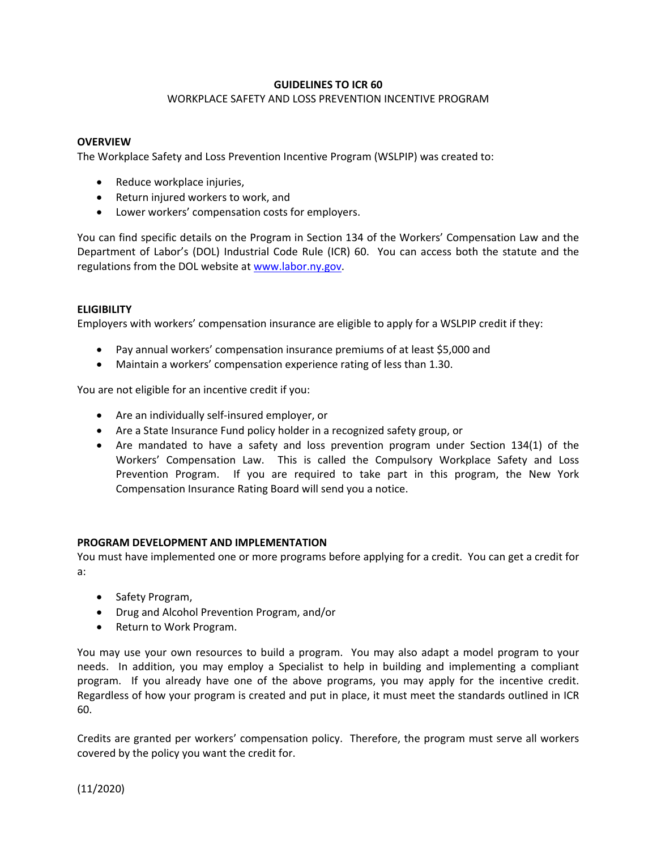# **GUIDELINES TO ICR 60**

## WORKPLACE SAFETY AND LOSS PREVENTION INCENTIVE PROGRAM

## **OVERVIEW**

The Workplace Safety and Loss Prevention Incentive Program (WSLPIP) was created to:

- Reduce workplace injuries,
- Return injured workers to work, and
- Lower workers' compensation costs for employers.

You can find specific details on the Program in Section 134 of the Workers' Compensation Law and the Department of Labor's (DOL) Industrial Code Rule (ICR) 60. You can access both the statute and the regulations from the DOL website at www.labor.ny.gov.

## **ELIGIBILITY**

Employers with workers' compensation insurance are eligible to apply for a WSLPIP credit if they:

- Pay annual workers' compensation insurance premiums of at least \$5,000 and
- Maintain a workers' compensation experience rating of less than 1.30.

You are not eligible for an incentive credit if you:

- Are an individually self-insured employer, or
- Are a State Insurance Fund policy holder in a recognized safety group, or
- Are mandated to have a safety and loss prevention program under Section 134(1) of the Workers' Compensation Law. This is called the Compulsory Workplace Safety and Loss Prevention Program. If you are required to take part in this program, the New York Compensation Insurance Rating Board will send you a notice.

### **PROGRAM DEVELOPMENT AND IMPLEMENTATION**

You must have implemented one or more programs before applying for a credit. You can get a credit for a:

- Safety Program,
- Drug and Alcohol Prevention Program, and/or
- Return to Work Program.

You may use your own resources to build a program. You may also adapt a model program to your needs. In addition, you may employ a Specialist to help in building and implementing a compliant program. If you already have one of the above programs, you may apply for the incentive credit. Regardless of how your program is created and put in place, it must meet the standards outlined in ICR 60.

Credits are granted per workers' compensation policy. Therefore, the program must serve all workers covered by the policy you want the credit for.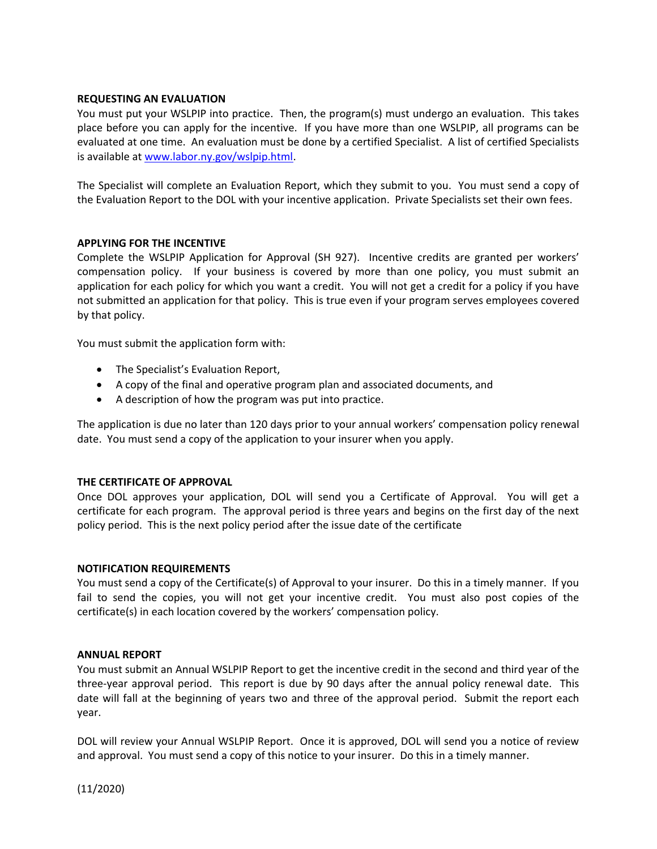### **REQUESTING AN EVALUATION**

You must put your WSLPIP into practice. Then, the program(s) must undergo an evaluation. This takes place before you can apply for the incentive. If you have more than one WSLPIP, all programs can be evaluated at one time. An evaluation must be done by a certified Specialist. A list of certified Specialists is available at www.labor.ny.gov/wslpip.html.

The Specialist will complete an Evaluation Report, which they submit to you. You must send a copy of the Evaluation Report to the DOL with your incentive application. Private Specialists set their own fees.

## **APPLYING FOR THE INCENTIVE**

Complete the WSLPIP Application for Approval (SH 927). Incentive credits are granted per workers' compensation policy. If your business is covered by more than one policy, you must submit an application for each policy for which you want a credit. You will not get a credit for a policy if you have not submitted an application for that policy. This is true even if your program serves employees covered by that policy.

You must submit the application form with:

- The Specialist's Evaluation Report,
- A copy of the final and operative program plan and associated documents, and
- A description of how the program was put into practice.

The application is due no later than 120 days prior to your annual workers' compensation policy renewal date. You must send a copy of the application to your insurer when you apply.

### **THE CERTIFICATE OF APPROVAL**

Once DOL approves your application, DOL will send you a Certificate of Approval. You will get a certificate for each program. The approval period is three years and begins on the first day of the next policy period. This is the next policy period after the issue date of the certificate

### **NOTIFICATION REQUIREMENTS**

You must send a copy of the Certificate(s) of Approval to your insurer. Do this in a timely manner. If you fail to send the copies, you will not get your incentive credit. You must also post copies of the certificate(s) in each location covered by the workers' compensation policy.

### **ANNUAL REPORT**

You must submit an Annual WSLPIP Report to get the incentive credit in the second and third year of the three-year approval period. This report is due by 90 days after the annual policy renewal date. This date will fall at the beginning of years two and three of the approval period. Submit the report each year.

DOL will review your Annual WSLPIP Report. Once it is approved, DOL will send you a notice of review and approval. You must send a copy of this notice to your insurer. Do this in a timely manner.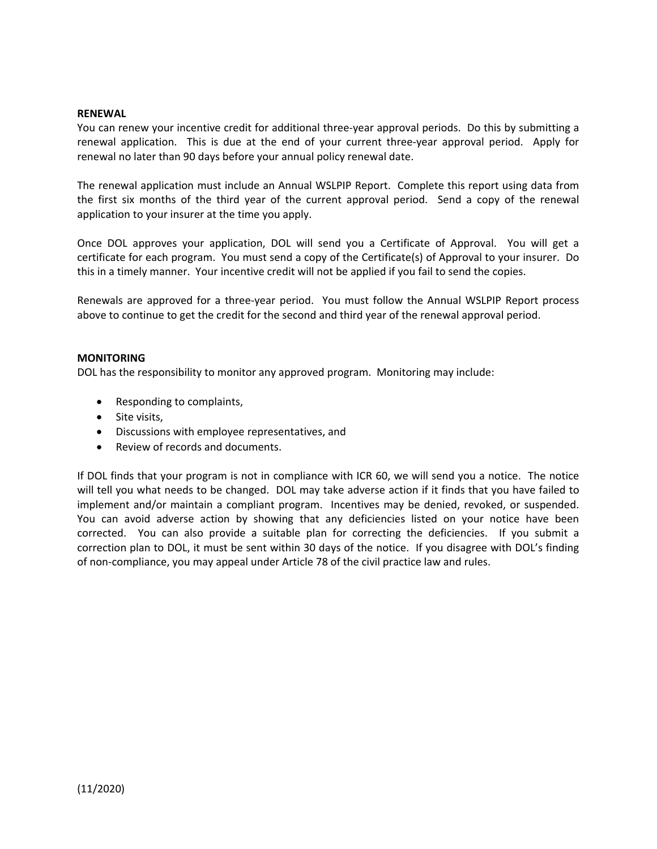### **RENEWAL**

You can renew your incentive credit for additional three-year approval periods. Do this by submitting a renewal application. This is due at the end of your current three-year approval period. Apply for renewal no later than 90 days before your annual policy renewal date.

The renewal application must include an Annual WSLPIP Report. Complete this report using data from the first six months of the third year of the current approval period. Send a copy of the renewal application to your insurer at the time you apply.

Once DOL approves your application, DOL will send you a Certificate of Approval. You will get a certificate for each program. You must send a copy of the Certificate(s) of Approval to your insurer. Do this in a timely manner. Your incentive credit will not be applied if you fail to send the copies.

Renewals are approved for a three-year period. You must follow the Annual WSLPIP Report process above to continue to get the credit for the second and third year of the renewal approval period.

#### **MONITORING**

DOL has the responsibility to monitor any approved program. Monitoring may include:

- Responding to complaints,
- Site visits,
- Discussions with employee representatives, and
- Review of records and documents.

If DOL finds that your program is not in compliance with ICR 60, we will send you a notice. The notice will tell you what needs to be changed. DOL may take adverse action if it finds that you have failed to implement and/or maintain a compliant program. Incentives may be denied, revoked, or suspended. You can avoid adverse action by showing that any deficiencies listed on your notice have been corrected. You can also provide a suitable plan for correcting the deficiencies. If you submit a correction plan to DOL, it must be sent within 30 days of the notice. If you disagree with DOL's finding of non-compliance, you may appeal under Article 78 of the civil practice law and rules.